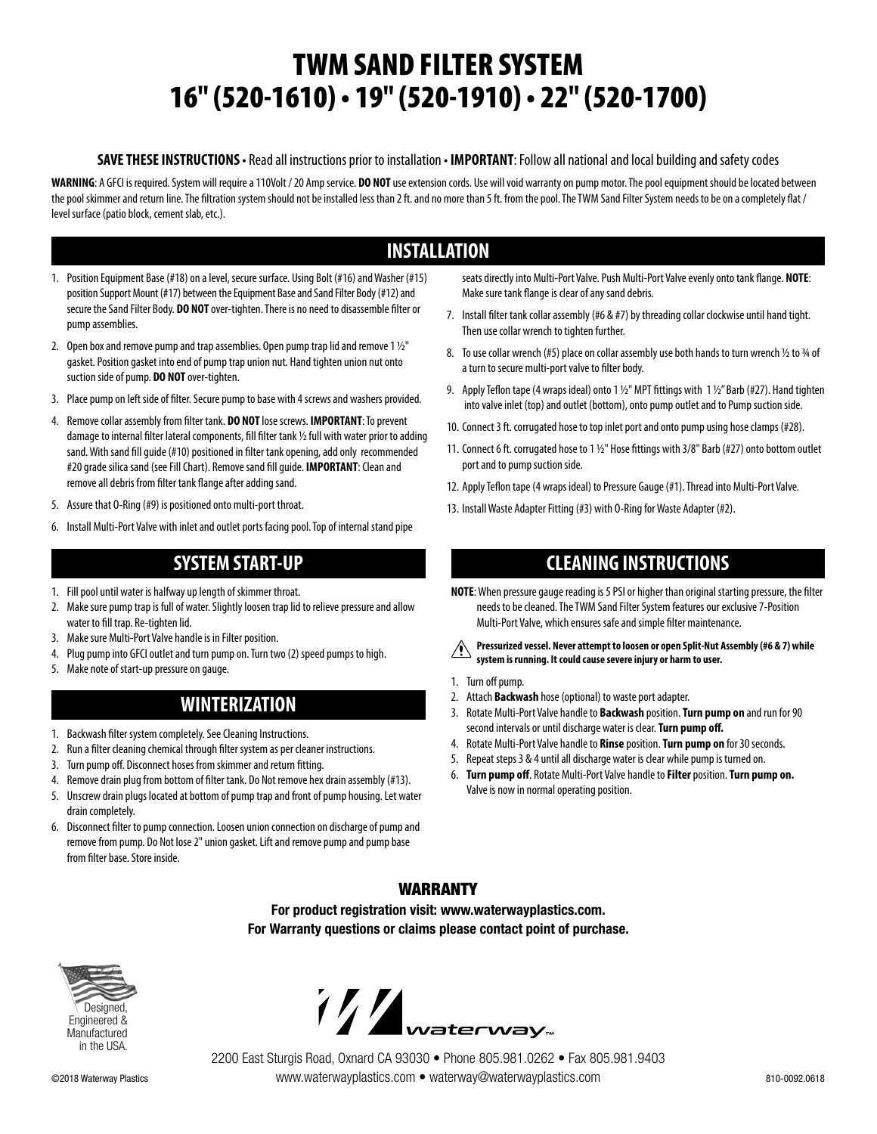# TWM SAND FILTER SYSTEM 16" (520-1610) • 19" (520-1910) • 22" (520-1700)

#### **SAVE THESE INSTRUCTIONS** • Read all instructions prior to installation • **IMPORTANT**: Follow all national and local building and safety codes

**WARNING**: A GFCI is required. System will require a 110Volt / 20 Amp service. **DO NOT** use extension cords. Use will void warranty on pump motor. The pool equipment should be located between the pool skimmer and return line. The filtration system should not be installed less than 2 ft. and no more than 5 ft. from the pool. The TWM Sand Filter System needs to be on a completely flat / level surface (patio block, cement slab, etc.).

# **INSTALLATION**

- 1. Position Equipment Base (#18) on a level, secure surface. Using Bolt (#16) and Washer (#15) position Support Mount (#17) between the Equipment Base and Sand Filter Body (#12) and secure the Sand Filter Body. **DO NOT** over-tighten. There is no need to disassemble filter or pump assemblies.
- 2. Open box and remove pump and trap assemblies. Open pump trap lid and remove 1  $1/2$ " gasket. Position gasket into end of pump trap union nut. Hand tighten union nut onto suction side of pump. **DO NOT** over-tighten.
- 3. Place pump on left side of filter. Secure pump to base with 4 screws and washers provided.
- 4. Remove collar assembly from filter tank. **DO NOT** lose screws. **IMPORTANT**: To prevent damage to internal filter lateral components, fill filter tank 1/2 full with water prior to adding sand. With sand fill guide (#10) positioned in filter tank opening, add only recommended #20 grade silica sand (see Fill Chart). Remove sand fill guide. **IMPORTANT**: Clean and remove all debris from filter tank flange after adding sand.
- 5. Assure that O-Ring (#9) is positioned onto multi-port throat.
- 6. Install Multi-Port Valve with inlet and outlet ports facing pool. Top of internal stand pipe

# **SYSTEM START-UP**

- 1. Fill pool until water is halfway up length of skimmer throat.
- 2. Make sure pump trap is full of water. Slightly loosen trap lid to relieve pressure and allow water to fill trap. Re-tighten lid.
- 3. Make sure Multi-Port Valve handle is in Filter position.
- 4. Plug pump into GFCI outlet and turn pump on. Turn two (2) speed pumps to high.
- 5. Make note of start-up pressure on gauge.

# **WINTERIZATION**

- 1. Backwash filter system completely. See Cleaning Instructions.
- 2. Run a filter cleaning chemical through filter system as per cleaner instructions.
- 3. Turn pump off. Disconnect hoses from skimmer and return fitting.
- 4. Remove drain plug from bottom of filter tank. Do Not remove hex drain assembly (#13).
- 5. Unscrew drain plugs located at bottom of pump trap and front of pump housing. Let water drain completely.
- 6. Disconnect filter to pump connection. Loosen union connection on discharge of pump and remove from pump. Do Not lose 2" union gasket. Lift and remove pump and pump base from filter base. Store inside.

seats directly into Multi-Port Valve. Push Multi-Port Valve evenly onto tank flange. **NOTE**: Make sure tank flange is clear of any sand debris.

- 7. Install filter tank collar assembly (#6 & #7) by threading collar clockwise until hand tight. Then use collar wrench to tighten further.
- 8. To use collar wrench (#5) place on collar assembly use both hands to turn wrench  $\frac{1}{2}$  to  $\frac{3}{4}$  of a turn to secure multi-port valve to filter body.
- 9. Apply Teflon tape (4 wraps ideal) onto 1  $1/2$ " MPT fittings with 1  $1/2$ " Barb (#27). Hand tighten into valve inlet (top) and outlet (bottom), onto pump outlet and to Pump suction side.
- 10. Connect 3 ft. corrugated hose to top inlet port and onto pump using hose clamps (#28).
- 11. Connect 6 ft. corrugated hose to 1 1/2" Hose fittings with 3/8" Barb (#27) onto bottom outlet port and to pump suction side.
- 12. Apply Teflon tape (4 wraps ideal) to Pressure Gauge (#1). Thread into Multi-Port Valve.
- 13. Install Waste Adapter Fitting (#3) with O-Ring for Waste Adapter (#2).

# **CLEANING INSTRUCTIONS**

- **NOTE**: When pressure gauge reading is 5 PSI or higher than original starting pressure, the filter needs to be cleaned. The TWM Sand Filter System features our exclusive 7-Position Multi-Port Valve, which ensures safe and simple filter maintenance.
- **Pressurized vessel. Never attempt to loosen or open Split-Nut Assembly (#6 & 7) while system is running. It could cause severe injury or harm to user.**
- 1. Turn off pump.
- 2. Attach **Backwash** hose (optional) to waste port adapter.
- 3. Rotate Multi-Port Valve handle to **Backwash** position. **Turn pump on** and run for 90 second intervals or until discharge water is clear. **Turn pump off.**
- 4. Rotate Multi-Port Valve handle to **Rinse** position. **Turn pump on** for 30 seconds.
- 5. Repeat steps 3 & 4 until all discharge water is clear while pump is turned on.
- 6. **Turn pump off**. Rotate Multi-Port Valve handle to **Filter** position. **Turn pump on.** Valve is now in normal operating position.

### WARRANTY

**For product registration visit: www.waterwayplastics.com. For Warranty questions or claims please contact point of purchase.**





©2018 Waterway Plastics 810-0092.0618 www.waterwayplastics.com • waterway@waterwayplastics.com 2200 East Sturgis Road, Oxnard CA 93030 • Phone 805.981.0262 • Fax 805.981.9403